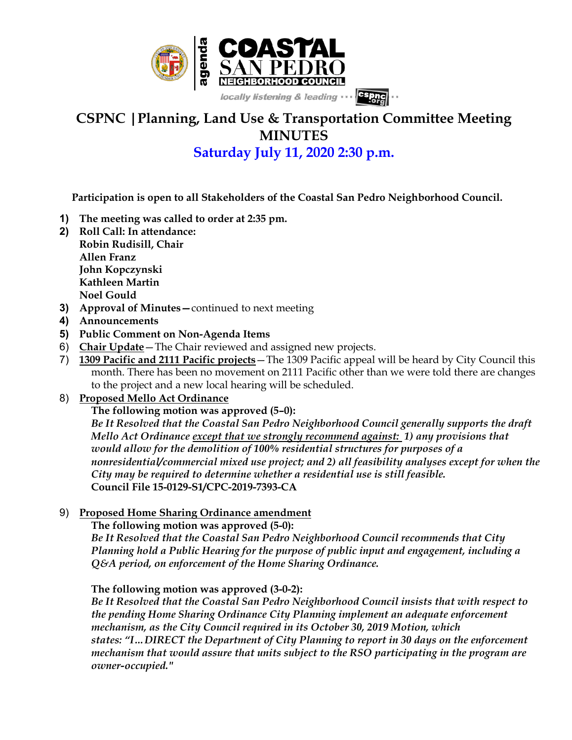

# **CSPNC |Planning, Land Use & Transportation Committee Meeting MINUTES**

**Saturday July 11, 2020 2:30 p.m.**

 **Participation is open to all Stakeholders of the Coastal San Pedro Neighborhood Council.**

- **1) The meeting was called to order at 2:35 pm.**
- **2) Roll Call: In attendance: Robin Rudisill, Chair Allen Franz John Kopczynski Kathleen Martin**

**Noel Gould**

- **3) Approval of Minutes—**continued to next meeting
- **4) Announcements**
- **5) Public Comment on Non-Agenda Items**
- 6) **Chair Update**—The Chair reviewed and assigned new projects.
- 7) **1309 Pacific and 2111 Pacific projects**—The 1309 Pacific appeal will be heard by City Council this month. There has been no movement on 2111 Pacific other than we were told there are changes to the project and a new local hearing will be scheduled.
- 8) **Proposed Mello Act Ordinance**

**The following motion was approved (5–0):**

*Be It Resolved that the Coastal San Pedro Neighborhood Council generally supports the draft Mello Act Ordinance except that we strongly recommend against: 1) any provisions that would allow for the demolition of 100% residential structures for purposes of a nonresidential/commercial mixed use project; and 2) all feasibility analyses except for when the City may be required to determine whether a residential use is still feasible.* **Council File 15-0129-S1/CPC-2019-7393-CA**

## 9) **Proposed Home Sharing Ordinance amendment**

#### **The following motion was approved (5-0):**

*Be It Resolved that the Coastal San Pedro Neighborhood Council recommends that City Planning hold a Public Hearing for the purpose of public input and engagement, including a Q&A period, on enforcement of the Home Sharing Ordinance.*

## **The following motion was approved (3-0-2):**

*Be It Resolved that the Coastal San Pedro Neighborhood Council insists that with respect to the pending Home Sharing Ordinance City Planning implement an adequate enforcement mechanism, as the City Council required in its October 30, 2019 Motion, which states: "I…DIRECT the Department of City Planning to report in 30 days on the enforcement mechanism that would assure that units subject to the RSO participating in the program are owner-occupied."*